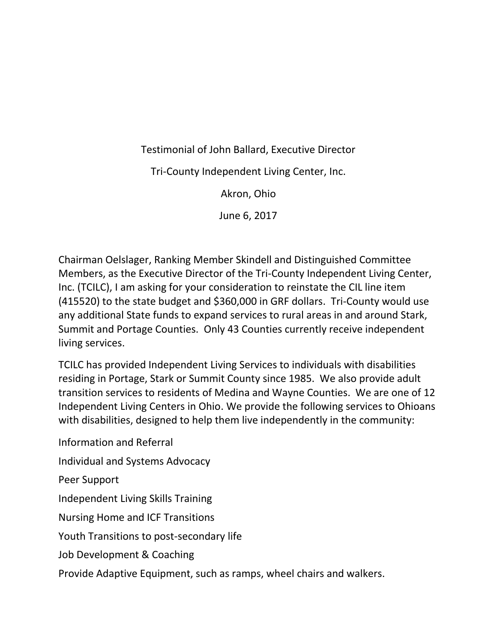Testimonial of John Ballard, Executive Director

Tri-County Independent Living Center, Inc.

Akron, Ohio

June 6, 2017

Chairman Oelslager, Ranking Member Skindell and Distinguished Committee Members, as the Executive Director of the Tri-County Independent Living Center, Inc. (TCILC), I am asking for your consideration to reinstate the CIL line item (415520) to the state budget and \$360,000 in GRF dollars. Tri-County would use any additional State funds to expand services to rural areas in and around Stark, Summit and Portage Counties. Only 43 Counties currently receive independent living services.

TCILC has provided Independent Living Services to individuals with disabilities residing in Portage, Stark or Summit County since 1985. We also provide adult transition services to residents of Medina and Wayne Counties. We are one of 12 Independent Living Centers in Ohio. We provide the following services to Ohioans with disabilities, designed to help them live independently in the community:

Information and Referral Individual and Systems Advocacy Peer Support Independent Living Skills Training Nursing Home and ICF Transitions Youth Transitions to post-secondary life Job Development & Coaching

Provide Adaptive Equipment, such as ramps, wheel chairs and walkers.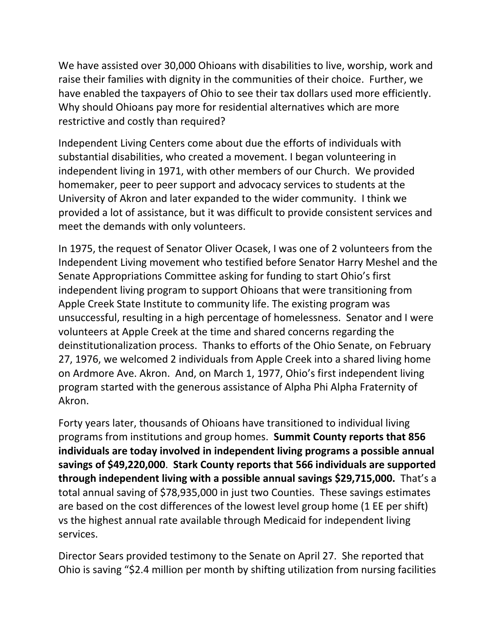We have assisted over 30,000 Ohioans with disabilities to live, worship, work and raise their families with dignity in the communities of their choice. Further, we have enabled the taxpayers of Ohio to see their tax dollars used more efficiently. Why should Ohioans pay more for residential alternatives which are more restrictive and costly than required?

Independent Living Centers come about due the efforts of individuals with substantial disabilities, who created a movement. I began volunteering in independent living in 1971, with other members of our Church. We provided homemaker, peer to peer support and advocacy services to students at the University of Akron and later expanded to the wider community. I think we provided a lot of assistance, but it was difficult to provide consistent services and meet the demands with only volunteers.

In 1975, the request of Senator Oliver Ocasek, I was one of 2 volunteers from the Independent Living movement who testified before Senator Harry Meshel and the Senate Appropriations Committee asking for funding to start Ohio's first independent living program to support Ohioans that were transitioning from Apple Creek State Institute to community life. The existing program was unsuccessful, resulting in a high percentage of homelessness. Senator and I were volunteers at Apple Creek at the time and shared concerns regarding the deinstitutionalization process. Thanks to efforts of the Ohio Senate, on February 27, 1976, we welcomed 2 individuals from Apple Creek into a shared living home on Ardmore Ave. Akron. And, on March 1, 1977, Ohio's first independent living program started with the generous assistance of Alpha Phi Alpha Fraternity of Akron.

Forty years later, thousands of Ohioans have transitioned to individual living programs from institutions and group homes. **Summit County reports that 856 individuals are today involved in independent living programs a possible annual savings of \$49,220,000**. **Stark County reports that 566 individuals are supported through independent living with a possible annual savings \$29,715,000.** That's a total annual saving of \$78,935,000 in just two Counties. These savings estimates are based on the cost differences of the lowest level group home (1 EE per shift) vs the highest annual rate available through Medicaid for independent living services.

Director Sears provided testimony to the Senate on April 27. She reported that Ohio is saving "\$2.4 million per month by shifting utilization from nursing facilities